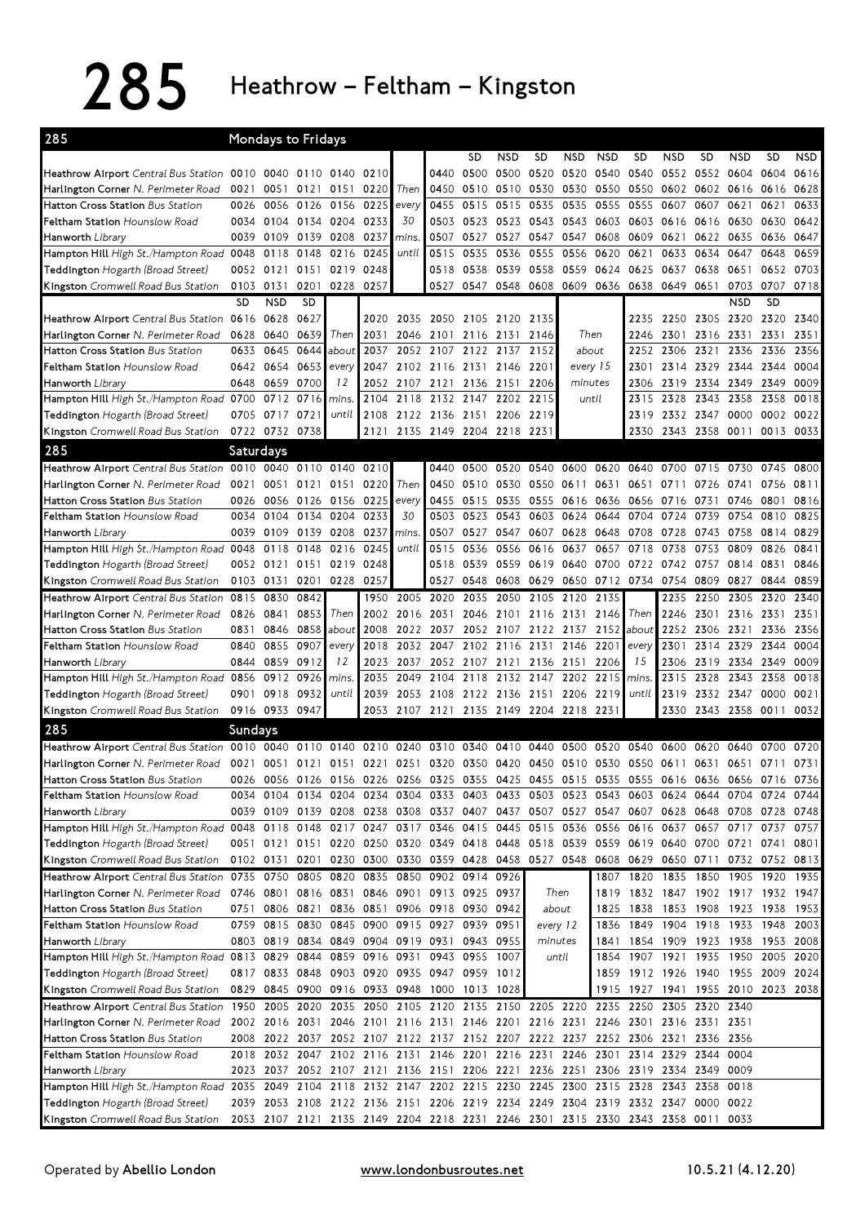$285$  Heathrow – Feltham – Kingston

| 285                                                                                                                                              |           | <b>Mondays to Fridays</b> |                |                                                                                           |      |           |                               |                |            |           |                                                                            |            |                                    |                               |                     |            |           |           |
|--------------------------------------------------------------------------------------------------------------------------------------------------|-----------|---------------------------|----------------|-------------------------------------------------------------------------------------------|------|-----------|-------------------------------|----------------|------------|-----------|----------------------------------------------------------------------------|------------|------------------------------------|-------------------------------|---------------------|------------|-----------|-----------|
|                                                                                                                                                  |           |                           |                |                                                                                           |      |           |                               | <b>SD</b>      | <b>NSD</b> | SD        | <b>NSD</b>                                                                 | <b>NSD</b> | <b>SD</b>                          | NSD                           | <b>SD</b>           | <b>NSD</b> | <b>SD</b> | NSD       |
| <b>Heathrow Airport</b> Central Bus Station                                                                                                      | 0010      | 0040                      | 0110           | 0140                                                                                      | 0210 |           | 0440                          | 0500           | 0500       | 0520      | 0520                                                                       | 0540       | 0540                               |                               | 0552 0552           | 0604       | 0604      | 0616      |
| Harlington Corner N. Perimeter Road                                                                                                              | 0021      | 0051                      | 0121           | 0151                                                                                      | 0220 | Then      | 0450                          | 0510           | 0510       | 0530      | 0530                                                                       | 0550       | 0550                               | 0602                          | 0602                | 0616       | 0616      | 0628      |
| Hatton Cross Station Bus Station                                                                                                                 | 0026      | 0056                      | 0126           | 0156                                                                                      | 0225 | every     | 0455                          | 0515           | 0515       | 0535      | 0535                                                                       | 0555       | 0555                               | 0607                          | 0607                | 0621       | 0621      | 0633      |
| <b>Feltham Station</b> Hounslow Road                                                                                                             | 0034      |                           | 0104 0134 0204 |                                                                                           | 0233 | 30        | 0503                          | 0523 0523      |            | 0543      | 0543 0603                                                                  |            | 0603                               | 0616                          | 0616                | 0630       | 0630      | 0642      |
| Hanworth Library                                                                                                                                 | 0039      | 0109                      | 0139           | 0208                                                                                      | 0237 | mins      | 0507                          | 0527           | 0527       | 0547      | 0547                                                                       | 0608       | 0609                               | 0621                          | 0622                | 0635       | 0636      | 0647      |
| Hampton Hill High St./Hampton Road 0048                                                                                                          |           | 0118                      | 0148           | 0216                                                                                      | 0245 | until     | 0515                          | 0535           | 0536       | 0555      | 0556                                                                       | 0620       | 0621                               | 0633                          | 0634                | 0647       | 0648      | 0659      |
| Teddington Hogarth (Broad Street)                                                                                                                |           | 0052 0121                 | 0151           | 0219                                                                                      | 0248 |           | 0518                          | 0538           | 0539       | 0558      | 0559                                                                       | 0624       | 0625                               | 0637                          | 0638                | 0651       | 0652      | 0703      |
| Kingston Cromwell Road Bus Station                                                                                                               | 0103 0131 |                           | 0201           | 0228                                                                                      | 0257 |           | 0527                          |                | 0547 0548  | 0608      | 0609 0636                                                                  |            | 0638                               | 0649                          | 0651                | 0703       | 0707      | 0718      |
|                                                                                                                                                  | SD        | <b>NSD</b>                | <b>SD</b>      |                                                                                           |      |           |                               |                |            |           |                                                                            |            |                                    |                               |                     | <b>NSD</b> | <b>SD</b> |           |
| Heathrow Airport Central Bus Station 0616                                                                                                        |           | 0628                      | 0627           |                                                                                           |      |           | 2020 2035 2050 2105 2120 2135 |                |            |           |                                                                            |            | 2235                               | 2250 2305 2320                |                     |            | 2320 2340 |           |
| Harlington Corner N. Perimeter Road                                                                                                              | 0628      |                           | 0640 0639      | Then                                                                                      | 2031 | 2046      | 2101                          | 2116 2131      |            | 2146      | Then                                                                       |            | 2246                               | 2301                          | 2316                | 2331       | 2331      | 2351      |
| Hatton Cross Station Bus Station                                                                                                                 | 0633      | 0645                      | 0644           | about                                                                                     | 2037 | 2052      | 2107                          | 2122 2137      |            | 2152      | about                                                                      |            | 2252                               | 2306                          | 2321                | 2336       | 2336      | 2356      |
| <b>Feltham Station</b> Hounslow Road                                                                                                             |           | 0642 0654 0653            |                | every                                                                                     | 2047 | 2102      | 2116                          | 2131 2146      |            | 2201      | every 15                                                                   |            | 2301                               |                               | 2314 2329           | 2344       | 2344      | 0004      |
| <b>Hanworth Library</b>                                                                                                                          | 0648      | 0659                      | 0700           | 12                                                                                        | 2052 | 2107      | 2121                          | 2136 2151      |            | 2206      | minutes                                                                    |            | 2306                               | 2319                          | 2334                | 2349       | 2349      | 0009      |
| Hampton Hill High St./Hampton Road 0700                                                                                                          |           |                           | 0712 0716      | mins.                                                                                     | 2104 | 2118      | 2132                          |                | 2147 2202  | 2215      | until                                                                      |            | 2315                               | 2328                          | 2343                | 2358       | 2358      | 0018      |
| Teddington Hogarth (Broad Street)                                                                                                                |           | 0705 0717 0721            |                | until                                                                                     | 2108 |           | 2122 2136 2151 2206           |                |            | 2219      |                                                                            |            | 2319                               |                               | 2332 2347 0000      |            | 0002      | 0022      |
| Kingston Cromwell Road Bus Station                                                                                                               |           | 0722 0732 0738            |                |                                                                                           |      |           | 2121 2135 2149 2204 2218      |                |            | 2231      |                                                                            |            | 2330                               |                               | 2343 2358 0011      |            |           | 0013 0033 |
| 285                                                                                                                                              | Saturdays |                           |                |                                                                                           |      |           |                               |                |            |           |                                                                            |            |                                    |                               |                     |            |           |           |
| Heathrow Airport Central Bus Station                                                                                                             | 0010      | 0040                      | 0110           | 0140                                                                                      | 0210 |           | 0440                          | 0500           | 0520       | 0540      | 0600                                                                       | 0620       | 0640                               | 0700                          | 0715                | 0730       | 0745      | 0800      |
| Harlington Corner N. Perimeter Road                                                                                                              | 0021      | 0051                      | 0121           | 0151                                                                                      | 0220 | Then      | 0450                          | 0510 0530      |            | 0550 0611 |                                                                            | 0631       | 0651                               | 0711                          | 0726 0741           |            | 0756      | 0811      |
| <b>Hatton Cross Station Bus Station</b>                                                                                                          | 0026      |                           | 0056 0126      | 0156                                                                                      | 0225 | every     | 0455                          | 0515           | 0535       | 0555      | 0616                                                                       | 0636       | 0656                               | 0716                          | 0731                | 0746       | 0801      | 0816      |
| <b>Feltham Station</b> Hounslow Road                                                                                                             | 0034      | 0104                      | 0134           | 0204                                                                                      | 0233 | 30        | 0503                          | 0523           | 0543       | 0603      | 0624                                                                       | 0644       | 0704                               | 0724                          | 0739                | 0754       | 0810      | 0825      |
| <b>Hanworth Library</b>                                                                                                                          | 0039      | 0109                      | 0139           | 0208                                                                                      | 0237 | mins      | 0507                          | 0527           | 0547       | 0607      | 0628                                                                       | 0648       | 0708                               | 0728                          | 0743                | 0758       | 0814      | 0829      |
| Hampton Hill High St./Hampton Road 0048                                                                                                          |           | 0118                      | 0148           | 0216                                                                                      | 0245 | until     | 0515                          | 0536           | 0556       | 0616      | 0637                                                                       | 0657       | 0718                               | 0738                          | 0753                | 0809       | 0826      | 0841      |
| Teddington Hogarth (Broad Street)                                                                                                                |           | 0052 0121                 |                | 0151 0219                                                                                 | 0248 |           | 0518                          | 0539           | 0559       | 0619      | 0640                                                                       | 0700       | 0722                               | 0742                          | 0757                | 0814       | 0831      | 0846      |
| Kingston Cromwell Road Bus Station                                                                                                               | 0103 0131 |                           | 0201           | 0228                                                                                      | 0257 |           | 0527                          | 0548           | 0608       | 0629      | 0650                                                                       | 0712       | 0734                               | 0754                          | 0809                | 0827       | 0844      | 0859      |
| Heathrow Airport Central Bus Station                                                                                                             | 0815      | 0830                      | 0842           |                                                                                           | 1950 | 2005      | 2020                          | 2035           | 2050       | 2105      | 2120                                                                       | 2135       |                                    | 2235                          | 2250                | 2305       | 2320      | 2340      |
| Harlington Corner N. Perimeter Road                                                                                                              |           | 0826 0841                 | 0853           | Then                                                                                      |      | 2002 2016 | 2031                          | 2046 2101      |            |           | 2116 2131 2146                                                             |            | Then                               | 2246                          | 2301                | 2316       | 2331      | 2351      |
| Hatton Cross Station Bus Station                                                                                                                 | 0831      |                           | 0846 0858      | about                                                                                     | 2008 | 2022      | 2037                          | 2052 2107      |            |           | 2122 2137 2152                                                             |            | about                              | 2252                          | 2306 2321           |            | 2336      | 2356      |
| <b>Feltham Station</b> Hounslow Road                                                                                                             | 0840      | 0855                      | 0907           | every                                                                                     | 2018 | 2032      | 2047                          | 2102           | 2116       | 2131      | 2146                                                                       | 2201       | every                              | 2301                          | 2314                | 2329       | 2344      | 0004      |
| <b>Hanworth Library</b>                                                                                                                          | 0844      | 0859                      | 0912           | 12                                                                                        | 2023 | 2037      | 2052                          | 2107 2121      |            | 2136      | 2151                                                                       | 2206       | 15                                 | 2306                          | 2319                | 2334       | 2349      | 0009      |
| Hampton Hill High St./Hampton Road 0856                                                                                                          |           | 0912                      | 0926           | mins.                                                                                     | 2035 | 2049      | 2104                          | 2118           | 2132       | 2147      | 2202                                                                       | 2215       | mins.                              | 2315                          | 2328                | 2343       | 2358      | 0018      |
| Teddington Hogarth (Broad Street)                                                                                                                | 0901      | 0918 0932                 |                | until                                                                                     | 2039 | 2053      | 2108                          |                |            |           | 2122 2136 2151 2206 2219                                                   |            | until                              | 2319                          | 2332 2347           |            | 0000      | 0021      |
| Kingston Cromwell Road Bus Station                                                                                                               |           | 0916 0933 0947            |                |                                                                                           |      |           |                               |                |            |           | 2053 2107 2121 2135 2149 2204 2218 2231                                    |            |                                    | 2330                          | 2343 2358           |            | 0011      | 0032      |
| 285                                                                                                                                              | Sundays   |                           |                |                                                                                           |      |           |                               |                |            |           |                                                                            |            |                                    |                               |                     |            |           |           |
| Heathrow Airport Central Bus Station 0010                                                                                                        |           | 0040                      | 0110           | 0140                                                                                      | 0210 | 0240      | 0310                          | 0340           | 0410       | 0440      | 0500                                                                       | 0520       | 0540                               | 0600                          | 0620                | 0640       | 0700      | 0720      |
| Harlington Corner N. Perimeter Road                                                                                                              | 0021      | 0051                      |                | 0121 0151 0221 0251                                                                       |      |           |                               | 0320 0350 0420 |            |           | 0450 0510 0530                                                             |            | 0550 0611                          |                               | 0631                | 0651       | 0711      | 0731      |
| <b>Hatton Cross Station Bus Station</b>                                                                                                          | 0026      |                           | 0056 0126      | 0156 0226 0256                                                                            |      |           | 0325 0355 0425                |                |            |           | 0455 0515 0535                                                             |            |                                    | 0555 0616 0636 0656 0716 0736 |                     |            |           |           |
| Feltham Station Hounslow Road                                                                                                                    |           |                           |                | 0034 0104 0134 0204 0234 0304 0333 0403 0433 0503 0523 0543 0603 0624 0644 0704 0724 0744 |      |           |                               |                |            |           |                                                                            |            |                                    |                               |                     |            |           |           |
|                                                                                                                                                  |           |                           |                | 0039 0109 0139 0208 0238 0308 0337 0407 0437 0507 0527 0547 0607 0628 0648 0708 0728 0748 |      |           |                               |                |            |           |                                                                            |            |                                    |                               |                     |            |           |           |
| Hanworth Library<br>Hampton Hill High St./Hampton Road 0048 0118 0148 0217 0247 0317 0346 0415 0445 0515 0536 0556 0616 0637 0657 0717 0737 0757 |           |                           |                |                                                                                           |      |           |                               |                |            |           |                                                                            |            |                                    |                               |                     |            |           |           |
| Teddington Hogarth (Broad Street)                                                                                                                |           |                           |                | 0051 0121 0151 0220 0250 0320 0349 0418 0448 0518 0539 0559 0619 0640 0700 0721 0741 0801 |      |           |                               |                |            |           |                                                                            |            |                                    |                               |                     |            |           |           |
| Kingston Cromwell Road Bus Station                                                                                                               |           | 0102 0131                 | 0201           |                                                                                           |      |           |                               |                |            |           | 0230 0300 0330 0359 0428 0458 0527 0548 0608 0629 0650 0711 0732 0752 0813 |            |                                    |                               |                     |            |           |           |
| Heathrow Airport Central Bus Station                                                                                                             |           | 0735 0750 0805            |                | 0820                                                                                      |      |           | 0835 0850 0902 0914 0926      |                |            |           |                                                                            | 1807       | 1820 1835                          |                               | 1850 1905 1920 1935 |            |           |           |
| Harlington Corner N. Perimeter Road                                                                                                              |           |                           |                | 0746 0801 0816 0831 0846 0901 0913 0925 0937                                              |      |           |                               |                |            | Then      |                                                                            |            | 1819 1832 1847 1902 1917 1932 1947 |                               |                     |            |           |           |
| Hatton Cross Station Bus Station                                                                                                                 |           |                           |                | 0751 0806 0821 0836 0851 0906 0918 0930 0942                                              |      |           |                               |                |            |           | about                                                                      | 1825       |                                    | 1838 1853 1908 1923 1938 1953 |                     |            |           |           |
| Feltham Station Hounslow Road                                                                                                                    |           |                           |                | 0759 0815 0830 0845 0900 0915 0927 0939 0951                                              |      |           |                               |                |            | every 12  |                                                                            | 1836       |                                    | 1849 1904 1918 1933           |                     |            | 1948      | 2003      |
| Hanworth Library                                                                                                                                 |           |                           |                | 0803 0819 0834 0849 0904 0919 0931                                                        |      |           |                               | 0943 0955      |            | minutes   |                                                                            | 1841       |                                    | 1854 1909 1923 1938           |                     |            | 1953 2008 |           |
| Hampton Hill High St./Hampton Road 0813 0829 0844 0859 0916 0931 0943 0955 1007                                                                  |           |                           |                |                                                                                           |      |           |                               |                |            |           | until                                                                      | 1854       | 1907 1921 1935 1950                |                               |                     |            |           | 2005 2020 |
| Teddington Hogarth (Broad Street)                                                                                                                |           |                           |                | 0817 0833 0848 0903 0920 0935 0947 0959 1012                                              |      |           |                               |                |            |           |                                                                            |            | 1859 1912 1926 1940 1955 2009 2024 |                               |                     |            |           |           |
| Kingston Cromwell Road Bus Station                                                                                                               |           |                           |                | 0829 0845 0900 0916 0933 0948 1000 1013 1028                                              |      |           |                               |                |            |           |                                                                            |            | 1915 1927 1941 1955 2010 2023 2038 |                               |                     |            |           |           |
| Heathrow Airport Central Bus Station                                                                                                             |           |                           |                | 1950 2005 2020 2035 2050 2105 2120 2135 2150 2205 2220 2235 2250 2305 2320 2340           |      |           |                               |                |            |           |                                                                            |            |                                    |                               |                     |            |           |           |
| Harlington Corner N. Perimeter Road                                                                                                              |           |                           |                | 2002 2016 2031 2046 2101 2116 2131 2146 2201 2216 2231 2246 2301 2316 2331 2351           |      |           |                               |                |            |           |                                                                            |            |                                    |                               |                     |            |           |           |
| Hatton Cross Station Bus Station                                                                                                                 |           |                           |                | 2008 2022 2037 2052 2107 2122 2137 2152 2207 2222 2237 2252 2306 2321 2336 2356           |      |           |                               |                |            |           |                                                                            |            |                                    |                               |                     |            |           |           |
| Feltham Station Hounslow Road                                                                                                                    |           |                           |                | 2018 2032 2047 2102 2116 2131 2146 2201 2216 2231 2246 2301 2314 2329 2344 0004           |      |           |                               |                |            |           |                                                                            |            |                                    |                               |                     |            |           |           |
| Hanworth Library                                                                                                                                 |           |                           |                | 2023 2037 2052 2107 2121 2136 2151 2206 2221 2236 2251 2306 2319 2334 2349 0009           |      |           |                               |                |            |           |                                                                            |            |                                    |                               |                     |            |           |           |
| Hampton Hill High St./Hampton Road 2035 2049 2104 2118 2132 2147 2202 2215 2230                                                                  |           |                           |                |                                                                                           |      |           |                               |                |            | 2245 2300 |                                                                            | 2315 2328  |                                    |                               | 2343 2358           | 0018       |           |           |
| Teddington Hogarth (Broad Street)                                                                                                                |           |                           |                | 2039 2053 2108 2122 2136 2151 2206 2219 2234 2249 2304 2319 2332 2347 0000 0022           |      |           |                               |                |            |           |                                                                            |            |                                    |                               |                     |            |           |           |
| Kingston Cromwell Road Bus Station                                                                                                               |           |                           |                | 2053 2107 2121 2135 2149 2204 2218 2231 2246 2301 2315 2330 2343 2358 0011 0033           |      |           |                               |                |            |           |                                                                            |            |                                    |                               |                     |            |           |           |
|                                                                                                                                                  |           |                           |                |                                                                                           |      |           |                               |                |            |           |                                                                            |            |                                    |                               |                     |            |           |           |